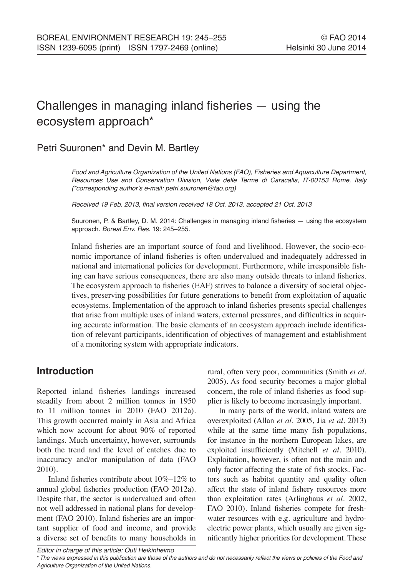# Challenges in managing inland fisheries — using the ecosystem approach\*

# Petri Suuronen\* and Devin M. Bartley

Food and Agriculture Organization of the United Nations (FAO), Fisheries and Aquaculture Department, Resources Use and Conservation Division, Viale delle Terme di Caracalla, IT-00153 Rome, Italy (\*corresponding author's e-mail: petri.suuronen@fao.org)

Received 19 Feb. 2013, final version received 18 Oct. 2013, accepted 21 Oct. 2013

Suuronen, P. & Bartley, D. M. 2014: Challenges in managing inland fisheries — using the ecosystem approach. *Boreal Env. Res.* 19: 245–255.

Inland fisheries are an important source of food and livelihood. However, the socio-economic importance of inland fisheries is often undervalued and inadequately addressed in national and international policies for development. Furthermore, while irresponsible fishing can have serious consequences, there are also many outside threats to inland fisheries. The ecosystem approach to fisheries (EAF) strives to balance a diversity of societal objectives, preserving possibilities for future generations to benefit from exploitation of aquatic ecosystems. Implementation of the approach to inland fisheries presents special challenges that arise from multiple uses of inland waters, external pressures, and difficulties in acquiring accurate information. The basic elements of an ecosystem approach include identification of relevant participants, identification of objectives of management and establishment of a monitoring system with appropriate indicators.

# **Introduction**

Reported inland fisheries landings increased steadily from about 2 million tonnes in 1950 to 11 million tonnes in 2010 (FAO 2012a). This growth occurred mainly in Asia and Africa which now account for about 90% of reported landings. Much uncertainty, however, surrounds both the trend and the level of catches due to inaccuracy and/or manipulation of data (FAO 2010).

Inland fisheries contribute about 10%–12% to annual global fisheries production (FAO 2012a). Despite that, the sector is undervalued and often not well addressed in national plans for development (FAO 2010). Inland fisheries are an important supplier of food and income, and provide a diverse set of benefits to many households in rural, often very poor, communities (Smith *et al*. 2005). As food security becomes a major global concern, the role of inland fisheries as food supplier is likely to become increasingly important.

In many parts of the world, inland waters are overexploited (Allan *et al*. 2005, Jia *et al*. 2013) while at the same time many fish populations, for instance in the northern European lakes, are exploited insufficiently (Mitchell *et al*. 2010). Exploitation, however, is often not the main and only factor affecting the state of fish stocks. Factors such as habitat quantity and quality often affect the state of inland fishery resources more than exploitation rates (Arlinghaus *et al*. 2002, FAO 2010). Inland fisheries compete for freshwater resources with e.g. agriculture and hydroelectric power plants, which usually are given significantly higher priorities for development. These

*Editor in charge of this article: Outi Heikinheimo*

<sup>\*</sup>The views expressed in this publication are those of the authors and do not necessarily reflect the views or policies of the Food and *Agriculture Organization of the United Nations.*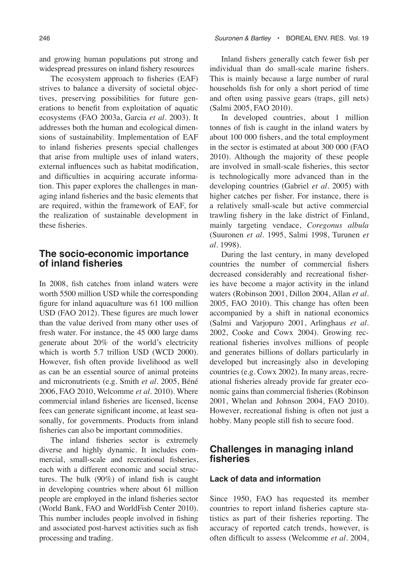and growing human populations put strong and widespread pressures on inland fishery resources

The ecosystem approach to fisheries (EAF) strives to balance a diversity of societal objectives, preserving possibilities for future generations to benefit from exploitation of aquatic ecosystems (FAO 2003a, Garcia *et al*. 2003). It addresses both the human and ecological dimensions of sustainability. Implementation of EAF to inland fisheries presents special challenges that arise from multiple uses of inland waters, external influences such as habitat modification, and difficulties in acquiring accurate information. This paper explores the challenges in managing inland fisheries and the basic elements that are required, within the framework of EAF, for the realization of sustainable development in these fisheries.

### **The socio-economic importance of inland fisheries**

In 2008, fish catches from inland waters were worth 5500 million USD while the corresponding figure for inland aquaculture was 61 100 million USD (FAO 2012). These figures are much lower than the value derived from many other uses of fresh water. For instance, the 45 000 large dams generate about 20% of the world's electricity which is worth 5.7 trillion USD (WCD 2000). However, fish often provide livelihood as well as can be an essential source of animal proteins and micronutrients (e.g. Smith *et al*. 2005, Béné 2006, FAO 2010, Welcomme *et al*. 2010). Where commercial inland fisheries are licensed, license fees can generate significant income, at least seasonally, for governments. Products from inland fisheries can also be important commodities.

The inland fisheries sector is extremely diverse and highly dynamic. It includes commercial, small-scale and recreational fisheries, each with a different economic and social structures. The bulk (90%) of inland fish is caught in developing countries where about 61 million people are employed in the inland fisheries sector (World Bank, FAO and WorldFish Center 2010). This number includes people involved in fishing and associated post-harvest activities such as fish processing and trading.

Inland fishers generally catch fewer fish per individual than do small-scale marine fishers. This is mainly because a large number of rural households fish for only a short period of time and often using passive gears (traps, gill nets) (Salmi 2005, FAO 2010).

In developed countries, about 1 million tonnes of fish is caught in the inland waters by about 100 000 fishers, and the total employment in the sector is estimated at about 300 000 (FAO 2010). Although the majority of these people are involved in small-scale fisheries, this sector is technologically more advanced than in the developing countries (Gabriel *et al*. 2005) with higher catches per fisher. For instance, there is a relatively small-scale but active commercial trawling fishery in the lake district of Finland, mainly targeting vendace, *Coregonus albula* (Suuronen *et al*. 1995, Salmi 1998, Turunen *et al*. 1998).

During the last century, in many developed countries the number of commercial fishers decreased considerably and recreational fisheries have become a major activity in the inland waters (Robinson 2001, Dillon 2004, Allan *et al*. 2005, FAO 2010). This change has often been accompanied by a shift in national economics (Salmi and Varjopuro 2001, Arlinghaus *et al*. 2002, Cooke and Cowx 2004). Growing recreational fisheries involves millions of people and generates billions of dollars particularly in developed but increasingly also in developing countries (e.g. Cowx 2002). In many areas, recreational fisheries already provide far greater economic gains than commercial fisheries (Robinson 2001, Whelan and Johnson 2004, FAO 2010). However, recreational fishing is often not just a hobby. Many people still fish to secure food.

## **Challenges in managing inland fisheries**

#### **Lack of data and information**

Since 1950, FAO has requested its member countries to report inland fisheries capture statistics as part of their fisheries reporting. The accuracy of reported catch trends, however, is often difficult to assess (Welcomme *et al*. 2004,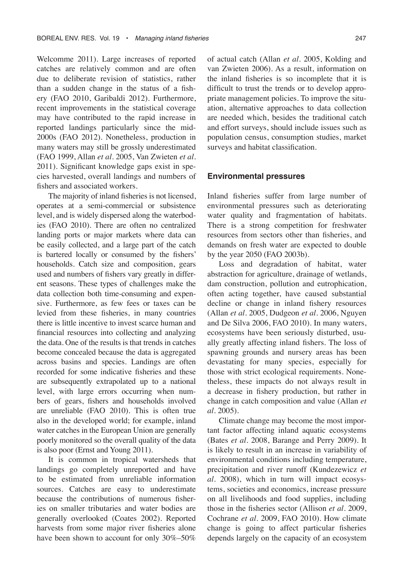Welcomme 2011). Large increases of reported catches are relatively common and are often due to deliberate revision of statistics, rather than a sudden change in the status of a fishery (FAO 2010, Garibaldi 2012). Furthermore, recent improvements in the statistical coverage may have contributed to the rapid increase in reported landings particularly since the mid-2000s (FAO 2012). Nonetheless, production in many waters may still be grossly underestimated (FAO 1999, Allan *et al*. 2005, Van Zwieten *et al*. 2011). Significant knowledge gaps exist in species harvested, overall landings and numbers of fishers and associated workers.

The majority of inland fisheries is not licensed, operates at a semi-commercial or subsistence level, and is widely dispersed along the waterbodies (FAO 2010). There are often no centralized landing ports or major markets where data can be easily collected, and a large part of the catch is bartered locally or consumed by the fishers' households. Catch size and composition, gears used and numbers of fishers vary greatly in different seasons. These types of challenges make the data collection both time-consuming and expensive. Furthermore, as few fees or taxes can be levied from these fisheries, in many countries there is little incentive to invest scarce human and financial resources into collecting and analyzing the data. One of the results is that trends in catches become concealed because the data is aggregated across basins and species. Landings are often recorded for some indicative fisheries and these are subsequently extrapolated up to a national level, with large errors occurring when numbers of gears, fishers and households involved are unreliable (FAO 2010). This is often true also in the developed world; for example, inland water catches in the European Union are generally poorly monitored so the overall quality of the data is also poor (Ernst and Young 2011).

It is common in tropical watersheds that landings go completely unreported and have to be estimated from unreliable information sources. Catches are easy to underestimate because the contributions of numerous fisheries on smaller tributaries and water bodies are generally overlooked (Coates 2002). Reported harvests from some major river fisheries alone have been shown to account for only  $30\% - 50\%$ 

of actual catch (Allan *et al*. 2005, Kolding and van Zwieten 2006). As a result, information on the inland fisheries is so incomplete that it is difficult to trust the trends or to develop appropriate management policies. To improve the situation, alternative approaches to data collection are needed which, besides the traditional catch and effort surveys, should include issues such as population census, consumption studies, market surveys and habitat classification.

#### **Environmental pressures**

Inland fisheries suffer from large number of environmental pressures such as deteriorating water quality and fragmentation of habitats. There is a strong competition for freshwater resources from sectors other than fisheries, and demands on fresh water are expected to double by the year 2050 (FAO 2003b).

Loss and degradation of habitat, water abstraction for agriculture, drainage of wetlands, dam construction, pollution and eutrophication, often acting together, have caused substantial decline or change in inland fishery resources (Allan *et al*. 2005, Dudgeon *et al*. 2006, Nguyen and De Silva 2006, FAO 2010). In many waters, ecosystems have been seriously disturbed, usually greatly affecting inland fishers. The loss of spawning grounds and nursery areas has been devastating for many species, especially for those with strict ecological requirements. Nonetheless, these impacts do not always result in a decrease in fishery production, but rather in change in catch composition and value (Allan *et al*. 2005).

Climate change may become the most important factor affecting inland aquatic ecosystems (Bates *et al*. 2008, Barange and Perry 2009). It is likely to result in an increase in variability of environmental conditions including temperature, precipitation and river runoff (Kundezewicz *et al*. 2008), which in turn will impact ecosystems, societies and economics, increase pressure on all livelihoods and food supplies, including those in the fisheries sector (Allison *et al*. 2009, Cochrane *et al*. 2009, FAO 2010). How climate change is going to affect particular fisheries depends largely on the capacity of an ecosystem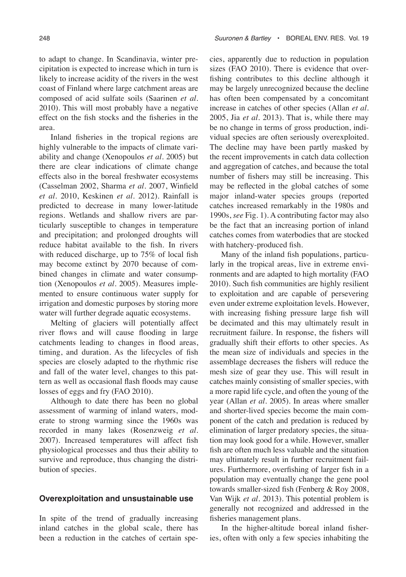to adapt to change. In Scandinavia, winter precipitation is expected to increase which in turn is likely to increase acidity of the rivers in the west coast of Finland where large catchment areas are composed of acid sulfate soils (Saarinen *et al*. 2010). This will most probably have a negative effect on the fish stocks and the fisheries in the area.

Inland fisheries in the tropical regions are highly vulnerable to the impacts of climate variability and change (Xenopoulos *et al*. 2005) but there are clear indications of climate change effects also in the boreal freshwater ecosystems (Casselman 2002, Sharma *et al*. 2007, Winfield *et al*. 2010, Keskinen *et al*. 2012). Rainfall is predicted to decrease in many lower-latitude regions. Wetlands and shallow rivers are particularly susceptible to changes in temperature and precipitation; and prolonged droughts will reduce habitat available to the fish. In rivers with reduced discharge, up to 75% of local fish may become extinct by 2070 because of combined changes in climate and water consumption (Xenopoulos *et al*. 2005). Measures implemented to ensure continuous water supply for irrigation and domestic purposes by storing more water will further degrade aquatic ecosystems.

Melting of glaciers will potentially affect river flows and will cause flooding in large catchments leading to changes in flood areas, timing, and duration. As the lifecycles of fish species are closely adapted to the rhythmic rise and fall of the water level, changes to this pattern as well as occasional flash floods may cause losses of eggs and fry (FAO 2010).

Although to date there has been no global assessment of warming of inland waters, moderate to strong warming since the 1960s was recorded in many lakes (Rosenzweig *et al*. 2007). Increased temperatures will affect fish physiological processes and thus their ability to survive and reproduce, thus changing the distribution of species.

#### **Overexploitation and unsustainable use**

In spite of the trend of gradually increasing inland catches in the global scale, there has been a reduction in the catches of certain species, apparently due to reduction in population sizes (FAO 2010). There is evidence that overfishing contributes to this decline although it may be largely unrecognized because the decline has often been compensated by a concomitant increase in catches of other species (Allan *et al*. 2005, Jia *et al*. 2013). That is, while there may be no change in terms of gross production, individual species are often seriously overexploited. The decline may have been partly masked by the recent improvements in catch data collection and aggregation of catches, and because the total number of fishers may still be increasing. This may be reflected in the global catches of some major inland-water species groups (reported catches increased remarkably in the 1980s and 1990s, *see* Fig. 1). A contributing factor may also be the fact that an increasing portion of inland catches comes from waterbodies that are stocked with hatchery-produced fish.

Many of the inland fish populations, particularly in the tropical areas, live in extreme environments and are adapted to high mortality (FAO 2010). Such fish communities are highly resilient to exploitation and are capable of persevering even under extreme exploitation levels. However, with increasing fishing pressure large fish will be decimated and this may ultimately result in recruitment failure. In response, the fishers will gradually shift their efforts to other species. As the mean size of individuals and species in the assemblage decreases the fishers will reduce the mesh size of gear they use. This will result in catches mainly consisting of smaller species, with a more rapid life cycle, and often the young of the year (Allan *et al*. 2005). In areas where smaller and shorter-lived species become the main component of the catch and predation is reduced by elimination of larger predatory species, the situation may look good for a while. However, smaller fish are often much less valuable and the situation may ultimately result in further recruitment failures. Furthermore, overfishing of larger fish in a population may eventually change the gene pool towards smaller-sized fish (Fenberg & Roy 2008, Van Wijk *et al*. 2013). This potential problem is generally not recognized and addressed in the fisheries management plans.

In the higher-altitude boreal inland fisheries, often with only a few species inhabiting the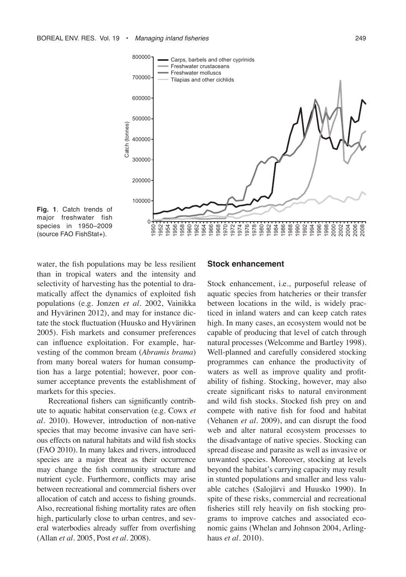

**Fig. 1**. Catch trends of major freshwater fish species in 1950–2009 (source FAO FishStat+).

water, the fish populations may be less resilient than in tropical waters and the intensity and selectivity of harvesting has the potential to dramatically affect the dynamics of exploited fish populations (e.g. Jonzen *et al*. 2002, Vainikka and Hyvärinen 2012), and may for instance dictate the stock fluctuation (Huusko and Hyvärinen 2005). Fish markets and consumer preferences can influence exploitation. For example, harvesting of the common bream (*Abramis brama*) from many boreal waters for human consumption has a large potential; however, poor consumer acceptance prevents the establishment of markets for this species.

Recreational fishers can significantly contribute to aquatic habitat conservation (e.g. Cowx *et al*. 2010). However, introduction of non-native species that may become invasive can have serious effects on natural habitats and wild fish stocks (FAO 2010). In many lakes and rivers, introduced species are a major threat as their occurrence may change the fish community structure and nutrient cycle. Furthermore, conflicts may arise between recreational and commercial fishers over allocation of catch and access to fishing grounds. Also, recreational fishing mortality rates are often high, particularly close to urban centres, and several waterbodies already suffer from overfishing (Allan *et al*. 2005, Post *et al*. 2008).

#### **Stock enhancement**

Stock enhancement, i.e., purposeful release of aquatic species from hatcheries or their transfer between locations in the wild, is widely practiced in inland waters and can keep catch rates high. In many cases, an ecosystem would not be capable of producing that level of catch through natural processes (Welcomme and Bartley 1998). Well-planned and carefully considered stocking programmes can enhance the productivity of waters as well as improve quality and profitability of fishing. Stocking, however, may also create significant risks to natural environment and wild fish stocks. Stocked fish prey on and compete with native fish for food and habitat (Vehanen *et al*. 2009), and can disrupt the food web and alter natural ecosystem processes to the disadvantage of native species. Stocking can spread disease and parasite as well as invasive or unwanted species. Moreover, stocking at levels beyond the habitat's carrying capacity may result in stunted populations and smaller and less valuable catches (Salojärvi and Huusko 1990). In spite of these risks, commercial and recreational fisheries still rely heavily on fish stocking programs to improve catches and associated economic gains (Whelan and Johnson 2004, Arlinghaus *et al*. 2010).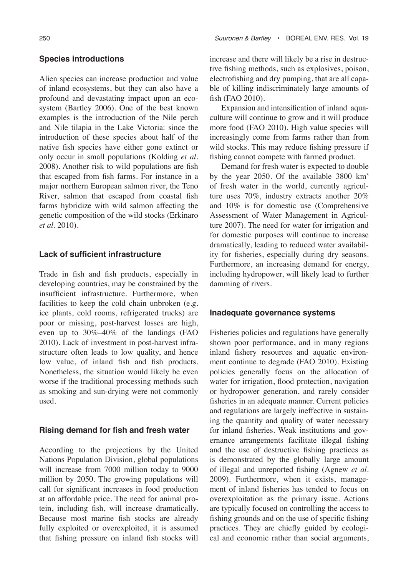#### **Species introductions**

Alien species can increase production and value of inland ecosystems, but they can also have a profound and devastating impact upon an ecosystem (Bartley 2006). One of the best known examples is the introduction of the Nile perch and Nile tilapia in the Lake Victoria: since the introduction of these species about half of the native fish species have either gone extinct or only occur in small populations (Kolding *et al.* 2008). Another risk to wild populations are fish that escaped from fish farms. For instance in a major northern European salmon river, the Teno River, salmon that escaped from coastal fish farms hybridize with wild salmon affecting the genetic composition of the wild stocks (Erkinaro *et al*. 2010).

#### **Lack of sufficient infrastructure**

Trade in fish and fish products, especially in developing countries, may be constrained by the insufficient infrastructure. Furthermore, when facilities to keep the cold chain unbroken (e.g. ice plants, cold rooms, refrigerated trucks) are poor or missing, post-harvest losses are high, even up to 30%–40% of the landings (FAO 2010). Lack of investment in post-harvest infrastructure often leads to low quality, and hence low value, of inland fish and fish products. Nonetheless, the situation would likely be even worse if the traditional processing methods such as smoking and sun-drying were not commonly used.

#### **Rising demand for fish and fresh water**

According to the projections by the United Nations Population Division, global populations will increase from 7000 million today to 9000 million by 2050. The growing populations will call for significant increases in food production at an affordable price. The need for animal protein, including fish, will increase dramatically. Because most marine fish stocks are already fully exploited or overexploited, it is assumed that fishing pressure on inland fish stocks will

increase and there will likely be a rise in destructive fishing methods, such as explosives, poison, electrofishing and dry pumping, that are all capable of killing indiscriminately large amounts of fish (FAO 2010).

Expansion and intensification of inland aquaculture will continue to grow and it will produce more food (FAO 2010). High value species will increasingly come from farms rather than from wild stocks. This may reduce fishing pressure if fishing cannot compete with farmed product.

Demand for fresh water is expected to double by the year 2050. Of the available 3800 km<sup>3</sup> of fresh water in the world, currently agriculture uses 70%, industry extracts another 20% and 10% is for domestic use (Comprehensive Assessment of Water Management in Agriculture 2007). The need for water for irrigation and for domestic purposes will continue to increase dramatically, leading to reduced water availability for fisheries, especially during dry seasons. Furthermore, an increasing demand for energy, including hydropower, will likely lead to further damming of rivers.

#### **Inadequate governance systems**

Fisheries policies and regulations have generally shown poor performance, and in many regions inland fishery resources and aquatic environment continue to degrade (FAO 2010). Existing policies generally focus on the allocation of water for irrigation, flood protection, navigation or hydropower generation, and rarely consider fisheries in an adequate manner. Current policies and regulations are largely ineffective in sustaining the quantity and quality of water necessary for inland fisheries. Weak institutions and governance arrangements facilitate illegal fishing and the use of destructive fishing practices as is demonstrated by the globally large amount of illegal and unreported fishing (Agnew *et al*. 2009). Furthermore, when it exists, management of inland fisheries has tended to focus on overexploitation as the primary issue. Actions are typically focused on controlling the access to fishing grounds and on the use of specific fishing practices. They are chiefly guided by ecological and economic rather than social arguments,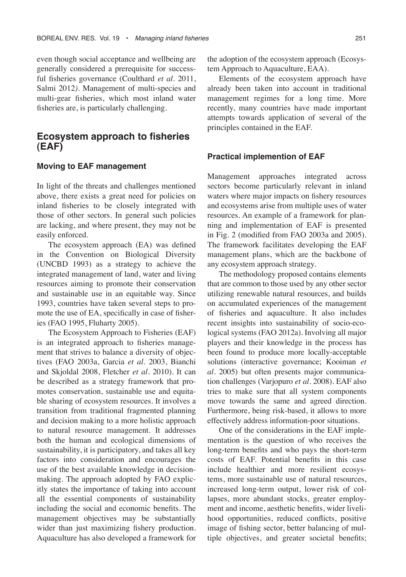even though social acceptance and wellbeing are generally considered a prerequisite for successful fisheries governance (Coulthard *et al*. 2011, Salmi 2012*)*. Management of multi-species and multi-gear fisheries, which most inland water fisheries are, is particularly challenging.

### **Ecosystem approach to fisheries (EAF)**

#### **Moving to EAF management**

In light of the threats and challenges mentioned above, there exists a great need for policies on inland fisheries to be closely integrated with those of other sectors. In general such policies are lacking, and where present, they may not be easily enforced.

The ecosystem approach (EA) was defined in the Convention on Biological Diversity (UNCBD 1993) as a strategy to achieve the integrated management of land, water and living resources aiming to promote their conservation and sustainable use in an equitable way. Since 1993, countries have taken several steps to promote the use of EA, specifically in case of fisheries (FAO 1995, Fluharty 2005).

The Ecosystem Approach to Fisheries (EAF) is an integrated approach to fisheries management that strives to balance a diversity of objectives (FAO 2003a, Garcia *et al*. 2003, Bianchi and Skjoldal 2008, Fletcher *et al*. 2010). It can be described as a strategy framework that promotes conservation, sustainable use and equitable sharing of ecosystem resources. It involves a transition from traditional fragmented planning and decision making to a more holistic approach to natural resource management. It addresses both the human and ecological dimensions of sustainability, it is participatory, and takes all key factors into consideration and encourages the use of the best available knowledge in decisionmaking. The approach adopted by FAO explicitly states the importance of taking into account all the essential components of sustainability including the social and economic benefits. The management objectives may be substantially wider than just maximizing fishery production. Aquaculture has also developed a framework for the adoption of the ecosystem approach (Ecosystem Approach to Aquaculture, EAA).

Elements of the ecosystem approach have already been taken into account in traditional management regimes for a long time. More recently, many countries have made important attempts towards application of several of the principles contained in the EAF.

#### **Practical implemention of EAF**

Management approaches integrated across sectors become particularly relevant in inland waters where major impacts on fishery resources and ecosystems arise from multiple uses of water resources. An example of a framework for planning and implementation of EAF is presented in Fig. 2 (modified from FAO 2003a and 2005). The framework facilitates developing the EAF management plans, which are the backbone of any ecosystem approach strategy.

The methodology proposed contains elements that are common to those used by any other sector utilizing renewable natural resources, and builds on accumulated experiences of the management of fisheries and aquaculture. It also includes recent insights into sustainability of socio-ecological systems (FAO 2012a). Involving all major players and their knowledge in the process has been found to produce more locally-acceptable solutions (interactive governance; Kooiman *et al.* 2005) but often presents major communication challenges (Varjopuro *et al*. 2008). EAF also tries to make sure that all system components move towards the same and agreed direction. Furthermore, being risk-based, it allows to more effectively address information-poor situations.

One of the considerations in the EAF implementation is the question of who receives the long-term benefits and who pays the short-term costs of EAF. Potential benefits in this case include healthier and more resilient ecosystems, more sustainable use of natural resources, increased long-term output, lower risk of collapses, more abundant stocks, greater employment and income, aesthetic benefits, wider livelihood opportunities, reduced conflicts, positive image of fishing sector, better balancing of multiple objectives, and greater societal benefits;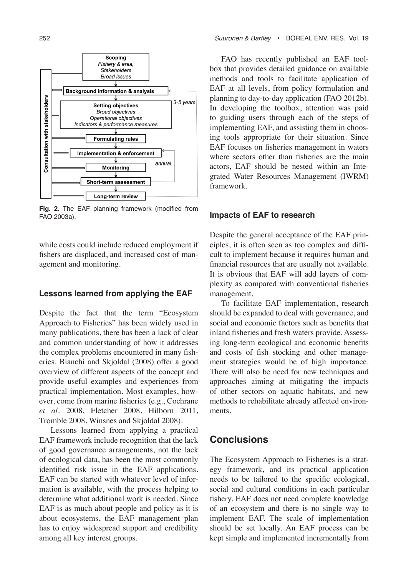

**Fig. 2**. The EAF planning framework (modified from FAO 2003a).

while costs could include reduced employment if fishers are displaced, and increased cost of management and monitoring.

#### **Lessons learned from applying the EAF**

Despite the fact that the term "Ecosystem Approach to Fisheries" has been widely used in many publications, there has been a lack of clear and common understanding of how it addresses the complex problems encountered in many fisheries. Bianchi and Skjoldal (2008) offer a good overview of different aspects of the concept and provide useful examples and experiences from practical implementation. Most examples, however, come from marine fisheries (e.g., Cochrane *et al*. 2008, Fletcher 2008, Hilborn 2011, Tromble 2008, Winsnes and Skjoldal 2008).

Lessons learned from applying a practical EAF framework include recognition that the lack of good governance arrangements, not the lack of ecological data, has been the most commonly identified risk issue in the EAF applications. EAF can be started with whatever level of information is available, with the process helping to determine what additional work is needed. Since EAF is as much about people and policy as it is about ecosystems, the EAF management plan has to enjoy widespread support and credibility among all key interest groups.

FAO has recently published an EAF toolbox that provides detailed guidance on available methods and tools to facilitate application of EAF at all levels, from policy formulation and planning to day-to-day application (FAO 2012b). In developing the toolbox, attention was paid to guiding users through each of the steps of implementing EAF, and assisting them in choosing tools appropriate for their situation. Since EAF focuses on fisheries management in waters where sectors other than fisheries are the main actors, EAF should be nested within an Integrated Water Resources Management (IWRM) framework.

#### **Impacts of EAF to research**

Despite the general acceptance of the EAF principles, it is often seen as too complex and difficult to implement because it requires human and financial resources that are usually not available. It is obvious that EAF will add layers of complexity as compared with conventional fisheries management.

To facilitate EAF implementation, research should be expanded to deal with governance, and social and economic factors such as benefits that inland fisheries and fresh waters provide. Assessing long-term ecological and economic benefits and costs of fish stocking and other management strategies would be of high importance. There will also be need for new techniques and approaches aiming at mitigating the impacts of other sectors on aquatic habitats, and new methods to rehabilitate already affected environments.

# **Conclusions**

The Ecosystem Approach to Fisheries is a strategy framework, and its practical application needs to be tailored to the specific ecological, social and cultural conditions in each particular fishery. EAF does not need complete knowledge of an ecosystem and there is no single way to implement EAF. The scale of implementation should be set locally. An EAF process can be kept simple and implemented incrementally from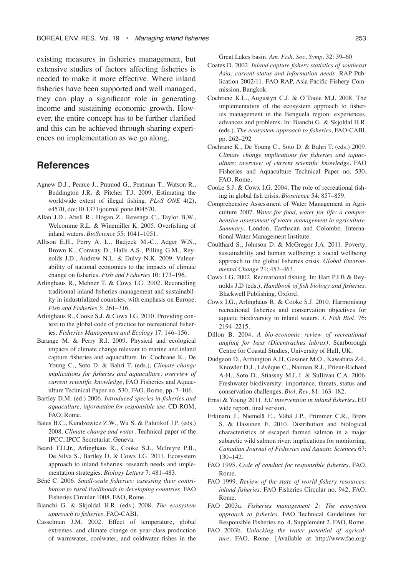existing measures in fisheries management, but extensive studies of factors affecting fisheries is needed to make it more effective. Where inland fisheries have been supported and well managed, they can play a significant role in generating income and sustaining economic growth. However, the entire concept has to be further clarified and this can be achieved through sharing experiences on implementation as we go along.

# **References**

- Agnew D.J., Pearce J., Pramod G., Peatman T., Watson R., Beddington J.R. & Pitcher T.J. 2009. Estimating the worldwide extent of illegal fishing. *PLoS ONE* 4(2), e4570, doi:10.1371/journal.pone.004570.
- Allan J.D., Abell R., Hogan Z., Revenga C., Taylor B.W., Welcomme R.L. & Winemiller K. 2005. Overfishing of inland waters. *BioScience* 55: 1041–1051.
- Allison E.H., Perry A. L., Badjeck M.-C., Adger W.N., Brown K., Conway D., Halls A.S., Pilling G.M., Reynolds J.D., Andrew N.L. & Dulvy N.K. 2009. Vulnerability of national economies to the impacts of climate change on fisheries. *Fish and Fisheries* 10: 173–196.
- Arlinghaus R., Mehner T. & Cowx I.G. 2002*.* Reconciling traditional inland fisheries management and sustainability in industrialized countries, with emphasis on Europe*. Fish and Fisheries* 3: 261–316*.*
- Arlinghaus R., Cooke S.J. & Cowx I.G. 2010. Providing context to the global code of practice for recreational fisheries. *Fisheries Management and Ecology* 17: 146–156.
- Barange M. & Perry R.I. 2009. Physical and ecological impacts of climate change relevant to marine and inland capture fisheries and aquaculture. In: Cochrane K., De Young C., Soto D. & Bahri T. (eds.), *Climate change implications for fisheries and aquaculture; overview of current scientific knowledge*, FAO Fisheries and Aquaculture Technical Paper no. 530, FAO, Rome, pp. 7–106.
- Bartley D.M. (ed.) 2006. *Introduced species in fisheries and aquaculture: information for responsible use*. CD-ROM, FAO, Rome.
- Bates B.C., Kundzewicz Z.W., Wu S. & Palutikof J.P. (eds.) 2008. *Climate change and water*. Technical paper of the IPCC, IPCC Secretariat, Geneva.
- Beard T.D.Jr., Arlinghaus R., Cooke S.J., McIntyre P.B., De Silva S., Bartley D. & Cowx I.G. 2011. Ecosystem approach to inland fisheries: research needs and implementation strategies. *Biology Letters* 7: 481–483.
- Béné C. 2006. *Small-scale fisheries: assessing their contribution to rural livelihoods in developing countries*. FAO Fisheries Circular 1008, FAO, Rome.
- Bianchi G. & Skjoldal H.R. (eds.) 2008. *The ecosystem approach to fisheries*. FAO-CABI.
- Casselman J.M. 2002. Effect of temperature, global extremes, and climate change on year-class production of warmwater, coolwater, and coldwater fishes in the

Great Lakes basin. *Am. Fish. Soc. Symp.* 32: 39–60

- Coates D. 2002. *Inland capture fishery statistics of southeast Asia: current status and information needs*. RAP Publication 2002/11. FAO RAP, Asia-Pacific Fishery Commission, Bangkok.
- Cochrane K.L., Augustyn C.J. & O'Toole M.J. 2008. The implementation of the ecosystem approach to fisheries management in the Benguela region: experiences, advances and problems. In: Bianchi G. & Skjoldal H.R. (eds.), *The ecosystem approach to fisheries*, FAO-CABI, pp. 262–292
- Cochrane K., De Young C., Soto D. & Bahri T. (eds.) 2009. *Climate change implications for fisheries and aquaculture; overview of current scientific knowledge*. FAO Fisheries and Aquaculture Technical Paper no. 530, FAO, Rome.
- Cooke S.J. & Cowx I.G. 2004. The role of recreational fishing in global fish crisis. *Bioscience* 54: 857–859.
- Comprehensive Assessment of Water Management in Agriculture 2007. *Water for food, water for life: a comprehensive assessment of water management in agriculture. Summary*. London, Earthscan and Colombo, International Water Management Institute.
- Coulthard S., Johnson D. & McGregor J.A. 2011. Poverty, sustainability and human wellbeing: a social wellbeing approach to the global fisheries crisis. *Global Environmental Change* 21: 453–463.
- Cowx I.G. 2002. Recreational fishing. In: Hart P.J.B & Reynolds J.D (eds.), *Handbook of fish biology and fisheries*. Blackwell Publishing, Oxford.
- Cowx I.G., Arlinghaus R. & Cooke S.J. 2010*.* Harmonising recreational fisheries and conservation objectives for aquatic biodiversity in inland waters. *J. Fish Biol*. 76: 2194–2215.
- Dillon B. 2004. *A bio-economic review of recreational angling for bass (Dicentrachus labrax)*. Scarborough Centre for Coastal Studies, University of Hull, UK.
- Dudgeon D., Arthington A.H, Gessner M.O., Kawabata Z-I., Knowler D.J., Lévêque C., Naiman R.J., Prieur-Richard A-H., Soto D., Stiassny M.L.J. & Sullivan C.A. 2006*.*  Freshwater biodiversity: importance, threats, status and conservation challenges. *Biol. Rev*. 81: 163–182.
- Ernst & Young 2011. *EU intervention in inland fisheries*. EU wide report, final version.
- Erkinaro J., Niemelä E., Vähä J.P., Primmer C.R., Brørs S. & Hassinen E. 2010. Distribution and biological characteristics of escaped farmed salmon in a major subarctic wild salmon river: implications for monitoring. *Canadian Journal of Fisheries and Aquatic Sciences* 67: 130–142.
- FAO 1995. *Code of conduct for responsible fisheries*. FAO, Rome.
- FAO 1999. *Review of the state of world fishery resources: inland fisheries*. FAO Fisheries Circular no. 942, FAO, Rome.
- FAO 2003a. *Fisheries management 2: The ecosystem approach to fisheries*. FAO Technical Guidelines for Responsible Fisheries no. 4, Supplement 2, FAO, Rome.
- FAO 2003b. *Unlocking the water potential of agriculture*. FAO, Rome. [Available at http://www.fao.org/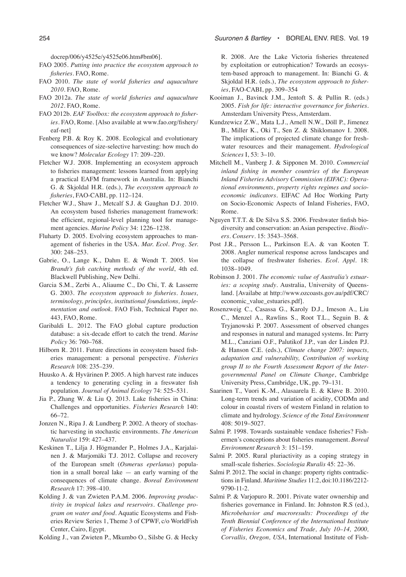docrep/006/y4525e/y4525e06.htm#bm06].

- FAO 2005. *Putting into practice the ecosystem approach to fisheries*. FAO, Rome.
- FAO 2010. *The state of world fisheries and aquaculture 2010*. FAO, Rome.
- FAO 2012a. *The state of world fisheries and aquaculture 2012*. FAO, Rome.
- FAO 2012b. *EAF Toolbox: the ecosystem approach to fisheries*. FAO, Rome. [Also available at www.fao.org/fishery/ eaf-net]
- Fenberg P.B. & Roy K. 2008. Ecological and evolutionary consequences of size-selective harvesting: how much do we know? *Molecular Ecology* 17: 209–220.
- Fletcher W.J. 2008. Implementing an ecosystem approach to fisheries management: lessons learned from applying a practical EAFM framework in Australia. In: Bianchi G. & Skjoldal H.R. (eds.), *The ecosystem approach to fisheries*, FAO-CABI, pp. 112–124.
- Fletcher W.J., Shaw J., Metcalf S.J. & Gaughan D.J. 2010. An ecosystem based fisheries management framework: the efficient, regional-level planning tool for management agencies. *Marine Policy* 34: 1226–1238.
- Fluharty D. 2005. Evolving ecosystem approaches to management of fisheries in the USA. *Mar. Ecol. Prog. Ser.* 300: 248–253.
- Gabrie, O., Lange K., Dahm E. & Wendt T. 2005. *Von Brandt's fish catching methods of the world*, 4th ed. Blackwell Publishing, New Delhi.
- Garcia S.M., Zerbi A., Aliaume C., Do Chi, T. & Lasserre G. 2003*. The ecosystem approach to fisheries. Issues, terminology, principles, institutional foundations, implementation and outlook*. FAO Fish, Technical Paper no. 443, FAO, Rome.
- Garibaldi L. 2012. The FAO global capture production database: a six-decade effort to catch the trend. *Marine Policy* 36: 760–768.
- Hilborn R. 2011. Future directions in ecosystem based fisheries management: a personal perspective. *Fisheries Research* 108: 235–239.
- Huusko A. & Hyvärinen P. 2005. A high harvest rate induces a tendency to generating cycling in a freswater fish population. *Journal of Animal Ecology* 74: 525–531.
- Jia P., Zhang W. & Liu Q. 2013. Lake fisheries in China: Challenges and opportunities. *Fisheries Research* 140: 66–72.
- Jonzen N., Ripa J. & Lundberg P. 2002. A theory of stochastic harvesting in stochastic environments. *The American Naturalist* 159: 427–437.
- Keskinen T., Lilja J. Högmander P., Holmes J.A., Karjalainen J. & Marjomäki T.J. 2012. Collapse and recovery of the European smelt (*Osmerus eperlanus*) population in a small boreal lake — an early warning of the consequences of climate change. *Boreal Environment Research* 17: 398–410.
- Kolding J. & van Zwieten P.A.M. 2006. *Improving productivity in tropical lakes and reservoirs. Challenge program on water and food*. Aquatic Ecosystems and Fisheries Review Series 1, Theme 3 of CPWF, c/o WorldFish Center, Cairo, Egypt.

Kolding J., van Zwieten P., Mkumbo O., Silsbe G. & Hecky

R. 2008. Are the Lake Victoria fisheries threatened by exploitation or eutrophication? Towards an ecosystem-based approach to management. In: Bianchi G. & Skjoldal H.R. (eds.), *The ecosystem approach to fisheries*, FAO-CABI, pp. 309–354

- Kooiman J., Bavinck J.M., Jentoft S. & Pullin R. (eds.) 2005. *Fish for life: interactive governance for fisheries*. Amsterdam University Press, Amsterdam.
- Kundzewicz Z.W., Mata L.J., Arnell N.W., Döll P., Jimenez B., Miller K., Oki T., Sen Z. & Shiklomanov I. 2008. The implications of projected climate change for freshwater resources and their management. *Hydrological Sciences* I, 53: 3–10.
- Mitchell M., Vanberg J. & Sipponen M. 2010. *Commercial inland fishing in member countries of the European Inland Fisheries Advisory Commission (EIFAC): Operational environments, property rights regimes and socioeconomic indicators*. EIFAC Ad Hoc Working Party on Socio-Economic Aspects of Inland Fisheries, FAO, Rome.
- Nguyen T.T.T. & De Silva S.S. 2006. Freshwater finfish biodiversity and conservation: an Asian perspective. *Biodivers. Conserv*. 15: 3543–3568.
- Post J.R., Persson L., Parkinson E.A. & van Kooten T. 2008. Angler numerical response across landscapes and the collapse of freshwater fisheries. *Ecol. Appl*. 18: 1038–1049.
- Robinson J. 2001. *The economic value of Australia's estuaries: a scoping study*. Australia, University of Queensland. [Availabe at http://www.ozcoasts.gov.au/pdf/CRC/ economic\_value\_estuaries.pdf].
- Rosenzweig C., Casassa G., Karoly D.J., Imeson A., Liu C., Menzel A., Rawlins S., Root T.L., Seguin B. & Tryjanowski P. 2007. Assessment of observed changes and responses in natural and managed systems. In: Parry M.L., Canziani O.F., Palutikof J.P., van der Linden P.J. & Hanson C.E. (eds.), *Climate change 2007: impacts, adaptation and vulnerability, Contribution of working group II to the Fourth Assessment Report of the Intergovernmental Panel on Climate Change*, Cambridge University Press, Cambridge, UK, pp. 79–131.
- Saarinen T., Vuori K.-M., Alasaarela E. & Kløve B. 2010. Long-term trends and variation of acidity, CODMn and colour in coastal rivers of western Finland in relation to climate and hydrology. *Science of the Total Environment*  408: 5019–5027.
- Salmi P. 1998. Towards sustainable vendace fisheries? Fishermen's conceptions about fisheries management. *Boreal Environment Research* 3: 151–159.
- Salmi P. 2005. Rural pluriactivity as a coping strategy in small-scale fisheries. *Sociologia Ruralis* 45: 22–36.
- Salmi P. 2012. The social in change: property rights contradictions in Finland. *Maritime Studies* 11:2, doi:10.1186/2212- 9790-11-2.
- Salmi P. & Varjopuro R. 2001. Private water ownership and fisheries governance in Finland. In: Johnston R.S (ed.), *Microbehavior and macroresults: Proceedings of the Tenth Biennial Conference of the International Institute of Fisheries Economics and Trade, July 10–14, 2000, Corvallis, Oregon, USA*, International Institute of Fish-